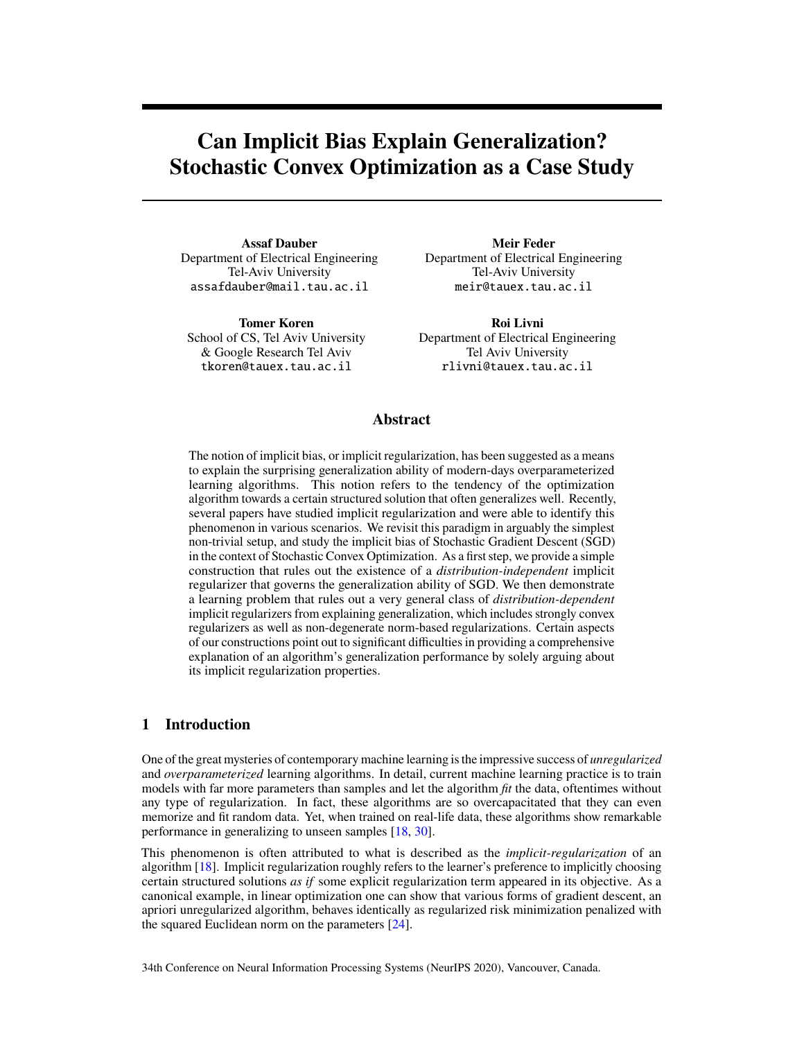# <span id="page-0-0"></span>**Can Implicit Bias Explain Generalization? Stochastic Convex Optimization as a Case Study**

**Assaf Dauber** Department of Electrical Engineering Tel-Aviv University assafdauber@mail.tau.ac.il

**Tomer Koren** School of CS, Tel Aviv University & Google Research Tel Aviv tkoren@tauex.tau.ac.il

**Meir Feder** Department of Electrical Engineering Tel-Aviv University meir@tauex.tau.ac.il

**Roi Livni** Department of Electrical Engineering Tel Aviv University rlivni@tauex.tau.ac.il

# **Abstract**

The notion of implicit bias, or implicit regularization, has been suggested as a means to explain the surprising generalization ability of modern-days overparameterized learning algorithms. This notion refers to the tendency of the optimization algorithm towards a certain structured solution that often generalizes well. Recently, several papers have studied implicit regularization and were able to identify this phenomenon in various scenarios. We revisit this paradigm in arguably the simplest non-trivial setup, and study the implicit bias of Stochastic Gradient Descent (SGD) in the context of Stochastic Convex Optimization. As a first step, we provide a simple construction that rules out the existence of a *distribution-independent* implicit regularizer that governs the generalization ability of SGD. We then demonstrate a learning problem that rules out a very general class of *distribution-dependent* implicit regularizers from explaining generalization, which includes strongly convex regularizers as well as non-degenerate norm-based regularizations. Certain aspects of our constructions point out to significant difficulties in providing a comprehensive explanation of an algorithm's generalization performance by solely arguing about its implicit regularization properties.

# **1 Introduction**

One of the great mysteries of contemporary machine learning is the impressive success of *unregularized* and *overparameterized* learning algorithms. In detail, current machine learning practice is to train models with far more parameters than samples and let the algorithm *fit* the data, oftentimes without any type of regularization. In fact, these algorithms are so overcapacitated that they can even memorize and fit random data. Yet, when trained on real-life data, these algorithms show remarkable performance in generalizing to unseen samples [\[18,](#page-10-0) [30\]](#page-10-1).

This phenomenon is often attributed to what is described as the *implicit-regularization* of an algorithm [\[18\]](#page-10-0). Implicit regularization roughly refers to the learner's preference to implicitly choosing certain structured solutions *as if* some explicit regularization term appeared in its objective. As a canonical example, in linear optimization one can show that various forms of gradient descent, an apriori unregularized algorithm, behaves identically as regularized risk minimization penalized with the squared Euclidean norm on the parameters [\[24\]](#page-10-2).

34th Conference on Neural Information Processing Systems (NeurIPS 2020), Vancouver, Canada.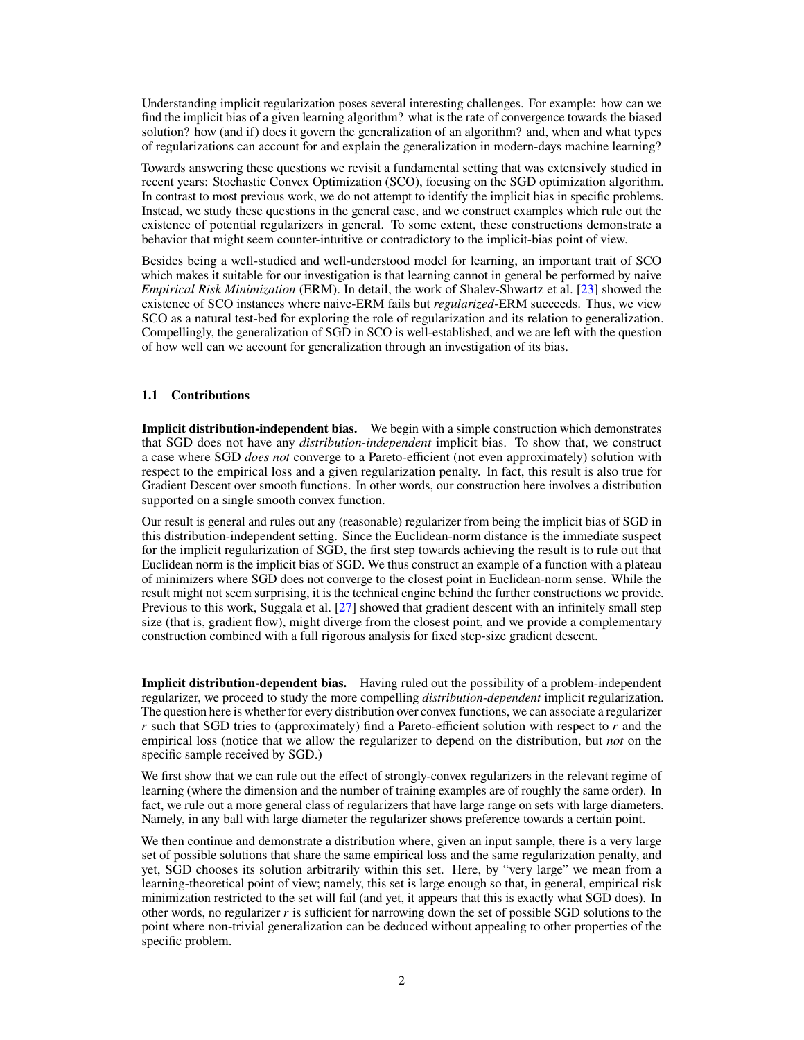<span id="page-1-0"></span>Understanding implicit regularization poses several interesting challenges. For example: how can we find the implicit bias of a given learning algorithm? what is the rate of convergence towards the biased solution? how (and if) does it govern the generalization of an algorithm? and, when and what types of regularizations can account for and explain the generalization in modern-days machine learning?

Towards answering these questions we revisit a fundamental setting that was extensively studied in recent years: Stochastic Convex Optimization (SCO), focusing on the SGD optimization algorithm. In contrast to most previous work, we do not attempt to identify the implicit bias in specific problems. Instead, we study these questions in the general case, and we construct examples which rule out the existence of potential regularizers in general. To some extent, these constructions demonstrate a behavior that might seem counter-intuitive or contradictory to the implicit-bias point of view.

Besides being a well-studied and well-understood model for learning, an important trait of SCO which makes it suitable for our investigation is that learning cannot in general be performed by naive *Empirical Risk Minimization* (ERM). In detail, the work of Shalev-Shwartz et al. [\[23\]](#page-10-3) showed the existence of SCO instances where naive-ERM fails but *regularized*-ERM succeeds. Thus, we view SCO as a natural test-bed for exploring the role of regularization and its relation to generalization. Compellingly, the generalization of SGD in SCO is well-established, and we are left with the question of how well can we account for generalization through an investigation of its bias.

## **1.1 Contributions**

**Implicit distribution-independent bias.** We begin with a simple construction which demonstrates that SGD does not have any *distribution-independent* implicit bias. To show that, we construct a case where SGD *does not* converge to a Pareto-efficient (not even approximately) solution with respect to the empirical loss and a given regularization penalty. In fact, this result is also true for Gradient Descent over smooth functions. In other words, our construction here involves a distribution supported on a single smooth convex function.

Our result is general and rules out any (reasonable) regularizer from being the implicit bias of SGD in this distribution-independent setting. Since the Euclidean-norm distance is the immediate suspect for the implicit regularization of SGD, the first step towards achieving the result is to rule out that Euclidean norm is the implicit bias of SGD. We thus construct an example of a function with a plateau of minimizers where SGD does not converge to the closest point in Euclidean-norm sense. While the result might not seem surprising, it is the technical engine behind the further constructions we provide. Previous to this work, Suggala et al. [\[27\]](#page-10-4) showed that gradient descent with an infinitely small step size (that is, gradient flow), might diverge from the closest point, and we provide a complementary construction combined with a full rigorous analysis for fixed step-size gradient descent.

**Implicit distribution-dependent bias.** Having ruled out the possibility of a problem-independent regularizer, we proceed to study the more compelling *distribution-dependent* implicit regularization. The question here is whether for every distribution over convex functions, we can associate a regularizer r such that SGD tries to (approximately) find a Pareto-efficient solution with respect to  $r$  and the empirical loss (notice that we allow the regularizer to depend on the distribution, but *not* on the specific sample received by SGD.)

We first show that we can rule out the effect of strongly-convex regularizers in the relevant regime of learning (where the dimension and the number of training examples are of roughly the same order). In fact, we rule out a more general class of regularizers that have large range on sets with large diameters. Namely, in any ball with large diameter the regularizer shows preference towards a certain point.

We then continue and demonstrate a distribution where, given an input sample, there is a very large set of possible solutions that share the same empirical loss and the same regularization penalty, and yet, SGD chooses its solution arbitrarily within this set. Here, by "very large" we mean from a learning-theoretical point of view; namely, this set is large enough so that, in general, empirical risk minimization restricted to the set will fail (and yet, it appears that this is exactly what SGD does). In other words, no regularizer  $r$  is sufficient for narrowing down the set of possible SGD solutions to the point where non-trivial generalization can be deduced without appealing to other properties of the specific problem.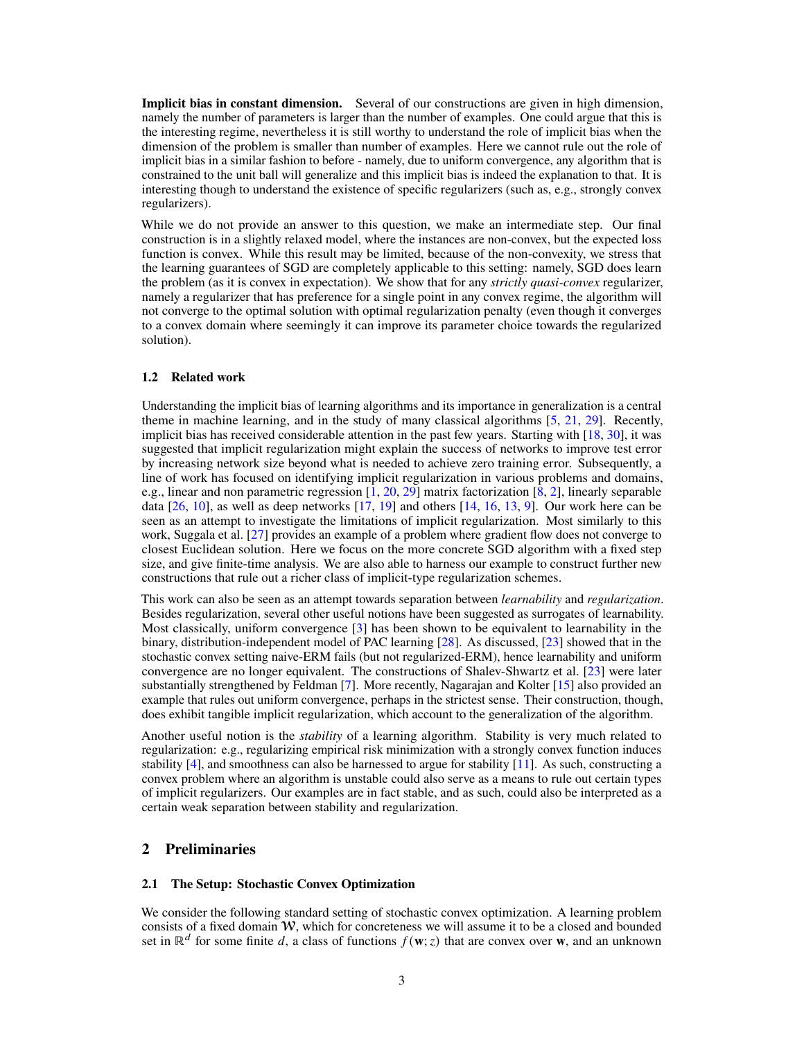<span id="page-2-0"></span>**Implicit bias in constant dimension.** Several of our constructions are given in high dimension, namely the number of parameters is larger than the number of examples. One could argue that this is the interesting regime, nevertheless it is still worthy to understand the role of implicit bias when the dimension of the problem is smaller than number of examples. Here we cannot rule out the role of implicit bias in a similar fashion to before - namely, due to uniform convergence, any algorithm that is constrained to the unit ball will generalize and this implicit bias is indeed the explanation to that. It is interesting though to understand the existence of specific regularizers (such as, e.g., strongly convex regularizers).

While we do not provide an answer to this question, we make an intermediate step. Our final construction is in a slightly relaxed model, where the instances are non-convex, but the expected loss function is convex. While this result may be limited, because of the non-convexity, we stress that the learning guarantees of SGD are completely applicable to this setting: namely, SGD does learn the problem (as it is convex in expectation). We show that for any *strictly quasi-convex* regularizer, namely a regularizer that has preference for a single point in any convex regime, the algorithm will not converge to the optimal solution with optimal regularization penalty (even though it converges to a convex domain where seemingly it can improve its parameter choice towards the regularized solution).

## **1.2 Related work**

Understanding the implicit bias of learning algorithms and its importance in generalization is a central theme in machine learning, and in the study of many classical algorithms [\[5,](#page-9-0) [21,](#page-10-5) [29\]](#page-10-6). Recently, implicit bias has received considerable attention in the past few years. Starting with [\[18,](#page-10-0) [30\]](#page-10-1), it was suggested that implicit regularization might explain the success of networks to improve test error by increasing network size beyond what is needed to achieve zero training error. Subsequently, a line of work has focused on identifying implicit regularization in various problems and domains, e.g., linear and non parametric regression  $\overline{1, 20, 29}$  $\overline{1, 20, 29}$  $\overline{1, 20, 29}$  matrix factorization  $\overline{8, 2}$ , linearly separable data [\[26,](#page-10-8) [10\]](#page-9-4), as well as deep networks [\[17,](#page-10-9) [19\]](#page-10-10) and others [\[14,](#page-9-5) [16,](#page-10-11) [13,](#page-9-6) [9\]](#page-9-7). Our work here can be seen as an attempt to investigate the limitations of implicit regularization. Most similarly to this work, Suggala et al. [\[27\]](#page-10-4) provides an example of a problem where gradient flow does not converge to closest Euclidean solution. Here we focus on the more concrete SGD algorithm with a fixed step size, and give finite-time analysis. We are also able to harness our example to construct further new constructions that rule out a richer class of implicit-type regularization schemes.

This work can also be seen as an attempt towards separation between *learnability* and *regularization*. Besides regularization, several other useful notions have been suggested as surrogates of learnability. Most classically, uniform convergence [\[3\]](#page-9-8) has been shown to be equivalent to learnability in the binary, distribution-independent model of PAC learning [\[28\]](#page-10-12). As discussed, [\[23\]](#page-10-3) showed that in the stochastic convex setting naive-ERM fails (but not regularized-ERM), hence learnability and uniform convergence are no longer equivalent. The constructions of Shalev-Shwartz et al. [\[23\]](#page-10-3) were later substantially strengthened by Feldman [\[7\]](#page-9-9). More recently, Nagarajan and Kolter [\[15\]](#page-9-10) also provided an example that rules out uniform convergence, perhaps in the strictest sense. Their construction, though, does exhibit tangible implicit regularization, which account to the generalization of the algorithm.

Another useful notion is the *stability* of a learning algorithm. Stability is very much related to regularization: e.g., regularizing empirical risk minimization with a strongly convex function induces stability [\[4\]](#page-9-11), and smoothness can also be harnessed to argue for stability [\[11\]](#page-9-12). As such, constructing a convex problem where an algorithm is unstable could also serve as a means to rule out certain types of implicit regularizers. Our examples are in fact stable, and as such, could also be interpreted as a certain weak separation between stability and regularization.

# **2 Preliminaries**

## **2.1 The Setup: Stochastic Convex Optimization**

We consider the following standard setting of stochastic convex optimization. A learning problem consists of a fixed domain W, which for concreteness we will assume it to be a closed and bounded set in  $\mathbb{R}^d$  for some finite d, a class of functions  $f(\mathbf{w}; z)$  that are convex over **w**, and an unknown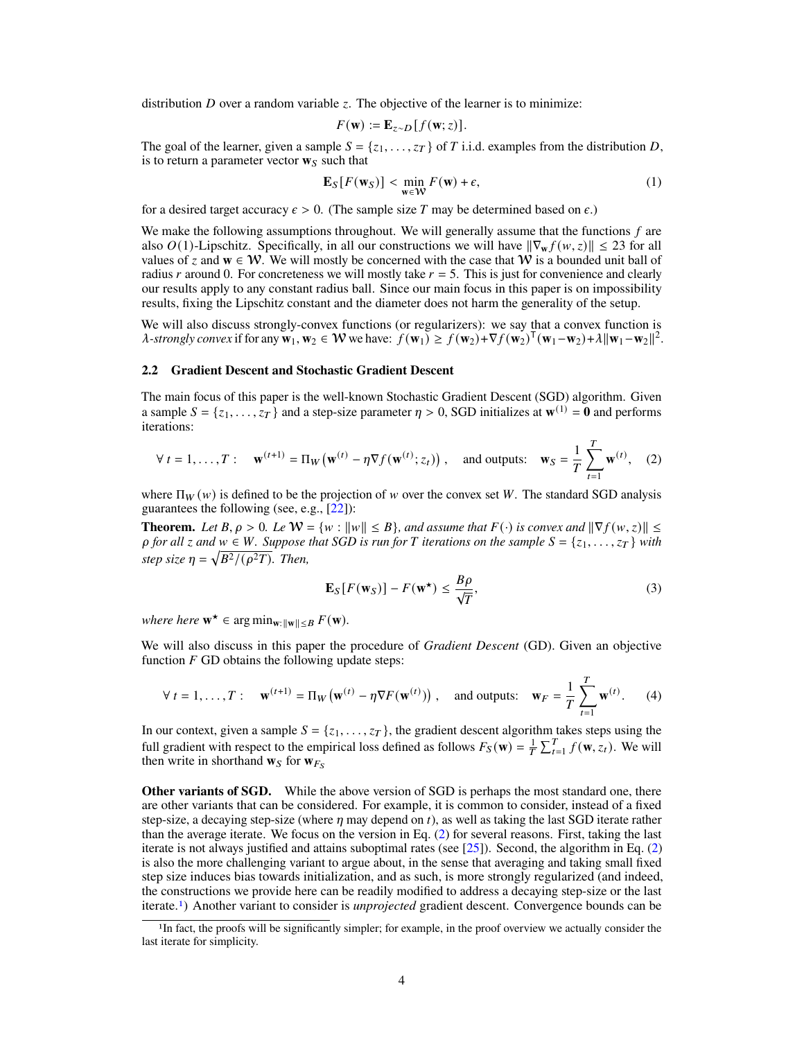<span id="page-3-2"></span>distribution  $D$  over a random variable  $\zeta$ . The objective of the learner is to minimize:

$$
F(\mathbf{w}) := \mathbf{E}_{z \sim D} [f(\mathbf{w}; z)].
$$

The goal of the learner, given a sample  $S = \{z_1, \ldots, z_T\}$  of T i.i.d. examples from the distribution D, is to return a parameter vector  $w_s$  such that

$$
\mathbf{E}_S[F(\mathbf{w}_S)] < \min_{\mathbf{w} \in \mathcal{W}} F(\mathbf{w}) + \epsilon,\tag{1}
$$

for a desired target accuracy  $\epsilon > 0$ . (The sample size T may be determined based on  $\epsilon$ .)

We make the following assumptions throughout. We will generally assume that the functions  $f$  are also  $O(1)$ -Lipschitz. Specifically, in all our constructions we will have  $\|\nabla_{\bf w} f(w, z)\| \leq 23$  for all values of z and  $w \in W$ . We will mostly be concerned with the case that W is a bounded unit ball of radius r around 0. For concreteness we will mostly take  $r = 5$ . This is just for convenience and clearly our results apply to any constant radius ball. Since our main focus in this paper is on impossibility results, fixing the Lipschitz constant and the diameter does not harm the generality of the setup.

We will also discuss strongly-convex functions (or regularizers): we say that a convex function is  $\lambda$ -strongly convex if for any  $\mathbf{w}_1, \mathbf{w}_2 \in \mathcal{W}$  we have:  $f(\mathbf{w}_1) \ge f(\mathbf{w}_2) + \nabla f(\mathbf{w}_2)^\top (\mathbf{w}_1 - \mathbf{w}_2) + \lambda ||\mathbf{w}_1 - \mathbf{w}_2||^2$ .

## **2.2 Gradient Descent and Stochastic Gradient Descent**

The main focus of this paper is the well-known Stochastic Gradient Descent (SGD) algorithm. Given a sample  $S = \{z_1, \ldots, z_T\}$  and a step-size parameter  $\eta > 0$ , SGD initializes at  $\mathbf{w}^{(1)} = \mathbf{0}$  and performs iterations:

<span id="page-3-0"></span>
$$
\forall t = 1, \dots, T: \quad \mathbf{w}^{(t+1)} = \Pi_W \left( \mathbf{w}^{(t)} - \eta \nabla f(\mathbf{w}^{(t)}; z_t) \right), \quad \text{and outputs:} \quad \mathbf{w}_S = \frac{1}{T} \sum_{t=1}^T \mathbf{w}^{(t)}, \quad (2)
$$

where  $\Pi_W(w)$  is defined to be the projection of w over the convex set W. The standard SGD analysis guarantees the following (see, e.g., [\[22\]](#page-10-13)):

**Theorem.** *Let*  $B, \rho > 0$ *. Le*  $W = \{w : ||w|| \leq B\}$ *, and assume that*  $F(\cdot)$  *is convex and*  $\|\nabla f(w, z)\| \leq$  $\rho$  *for all*  $z$  *and*  $w \in W$ *. Suppose that SGD is run for*  $T$  *iterations on the sample*  $S = \{z_1, \ldots, z_T\}$  *with step size*  $\eta = \sqrt{B^2/(\rho^2 T)}$ *. Then,* 

$$
\mathbf{E}_{S}[F(\mathbf{w}_{S})] - F(\mathbf{w}^{\star}) \le \frac{B\rho}{\sqrt{T}},
$$
\n(3)

 $where \nvert \nvert \mathbf{w}^{\star} \in \arg \min_{\mathbf{w}: ||\mathbf{w}|| \leq B} F(\mathbf{w}).$ 

We will also discuss in this paper the procedure of *Gradient Descent* (GD). Given an objective function  $F$  GD obtains the following update steps:

$$
\forall t = 1, \dots, T: \quad \mathbf{w}^{(t+1)} = \Pi_W \left( \mathbf{w}^{(t)} - \eta \nabla F(\mathbf{w}^{(t)}) \right), \quad \text{and outputs:} \quad \mathbf{w}_F = \frac{1}{T} \sum_{t=1}^T \mathbf{w}^{(t)}. \tag{4}
$$

In our context, given a sample  $S = \{z_1, \ldots, z_T\}$ , the gradient descent algorithm takes steps using the full gradient with respect to the empirical loss defined as follows  $F_S(\mathbf{w}) = \frac{1}{T} \sum_{t=1}^T f(\mathbf{w}, z_t)$ . We will then write in shorthand  $w_S$  for  $w_{F_S}$ 

**Other variants of SGD.** While the above version of SGD is perhaps the most standard one, there are other variants that can be considered. For example, it is common to consider, instead of a fixed step-size, a decaying step-size (where  $\eta$  may depend on  $t$ ), as well as taking the last SGD iterate rather than the average iterate. We focus on the version in Eq. [\(2\)](#page-3-0) for several reasons. First, taking the last iterate is not always justified and attains suboptimal rates (see [\[25\]](#page-10-14)). Second, the algorithm in Eq. [\(2\)](#page-3-0) is also the more challenging variant to argue about, in the sense that averaging and taking small fixed step size induces bias towards initialization, and as such, is more strongly regularized (and indeed, the constructions we provide here can be readily modified to address a decaying step-size or the last iterate.[1](#page-3-1)) Another variant to consider is *unprojected* gradient descent. Convergence bounds can be

<span id="page-3-1"></span><sup>&</sup>lt;sup>1</sup>In fact, the proofs will be significantly simpler; for example, in the proof overview we actually consider the last iterate for simplicity.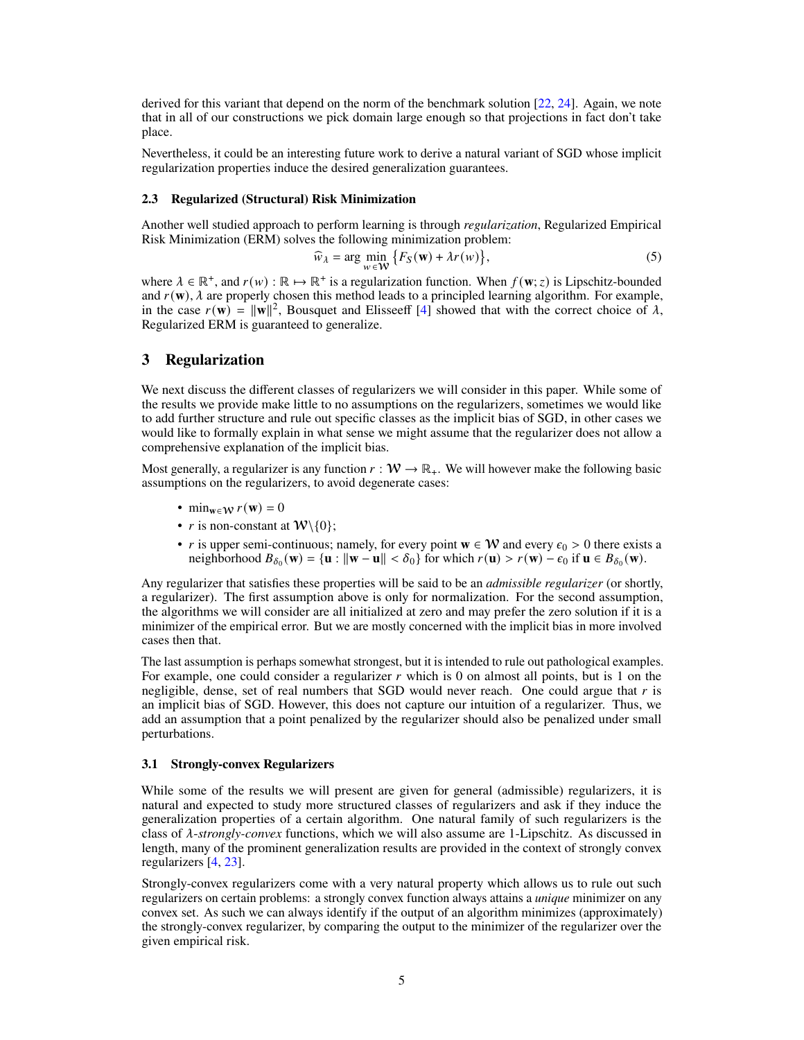<span id="page-4-1"></span>derived for this variant that depend on the norm of the benchmark solution [\[22,](#page-10-13) [24\]](#page-10-2). Again, we note that in all of our constructions we pick domain large enough so that projections in fact don't take place.

Nevertheless, it could be an interesting future work to derive a natural variant of SGD whose implicit regularization properties induce the desired generalization guarantees.

## **2.3 Regularized (Structural) Risk Minimization**

Another well studied approach to perform learning is through *regularization*, Regularized Empirical Risk Minimization (ERM) solves the following minimization problem:

<span id="page-4-0"></span>
$$
\widehat{w}_{\lambda} = \arg \min_{w \in \mathcal{W}} \{ F_S(w) + \lambda r(w) \},\tag{5}
$$

where  $\lambda \in \mathbb{R}^+$ , and  $r(w) : \mathbb{R} \mapsto \mathbb{R}^+$  is a regularization function. When  $f(w; z)$  is Lipschitz-bounded and  $r(\mathbf{w})$ ,  $\lambda$  are properly chosen this method leads to a principled learning algorithm. For example, in the case  $r(\mathbf{w}) = ||\mathbf{w}||^2$ , Bousquet and Elisseeff [\[4\]](#page-9-11) showed that with the correct choice of  $\lambda$ , Regularized ERM is guaranteed to generalize.

# **3 Regularization**

We next discuss the different classes of regularizers we will consider in this paper. While some of the results we provide make little to no assumptions on the regularizers, sometimes we would like to add further structure and rule out specific classes as the implicit bias of SGD, in other cases we would like to formally explain in what sense we might assume that the regularizer does not allow a comprehensive explanation of the implicit bias.

Most generally, a regularizer is any function  $r : W \to \mathbb{R}_+$ . We will however make the following basic assumptions on the regularizers, to avoid degenerate cases:

- min<sub>w∈W</sub>  $r(\mathbf{w}) = 0$
- *r* is non-constant at  $W\setminus\{0\}$ ;
- *r* is upper semi-continuous; namely, for every point  $\mathbf{w} \in \mathcal{W}$  and every  $\epsilon_0 > 0$  there exists a neighborhood  $B_{\delta_0}(\mathbf{w}) = {\mathbf{u} : ||\mathbf{w} - \mathbf{u}|| < \delta_0}$  for which  $r(\mathbf{u}) > r(\mathbf{w}) - \epsilon_0$  if  $\mathbf{u} \in B_{\delta_0}(\mathbf{w})$ .

Any regularizer that satisfies these properties will be said to be an *admissible regularizer* (or shortly, a regularizer). The first assumption above is only for normalization. For the second assumption, the algorithms we will consider are all initialized at zero and may prefer the zero solution if it is a minimizer of the empirical error. But we are mostly concerned with the implicit bias in more involved cases then that.

The last assumption is perhaps somewhat strongest, but it is intended to rule out pathological examples. For example, one could consider a regularizer  $r$  which is 0 on almost all points, but is 1 on the negligible, dense, set of real numbers that SGD would never reach. One could argue that  $r$  is an implicit bias of SGD. However, this does not capture our intuition of a regularizer. Thus, we add an assumption that a point penalized by the regularizer should also be penalized under small perturbations.

## **3.1 Strongly-convex Regularizers**

While some of the results we will present are given for general (admissible) regularizers, it is natural and expected to study more structured classes of regularizers and ask if they induce the generalization properties of a certain algorithm. One natural family of such regularizers is the class of *λ*-*strongly-convex* functions, which we will also assume are 1-Lipschitz. As discussed in length, many of the prominent generalization results are provided in the context of strongly convex regularizers [\[4,](#page-9-11) [23\]](#page-10-3).

Strongly-convex regularizers come with a very natural property which allows us to rule out such regularizers on certain problems: a strongly convex function always attains a *unique* minimizer on any convex set. As such we can always identify if the output of an algorithm minimizes (approximately) the strongly-convex regularizer, by comparing the output to the minimizer of the regularizer over the given empirical risk.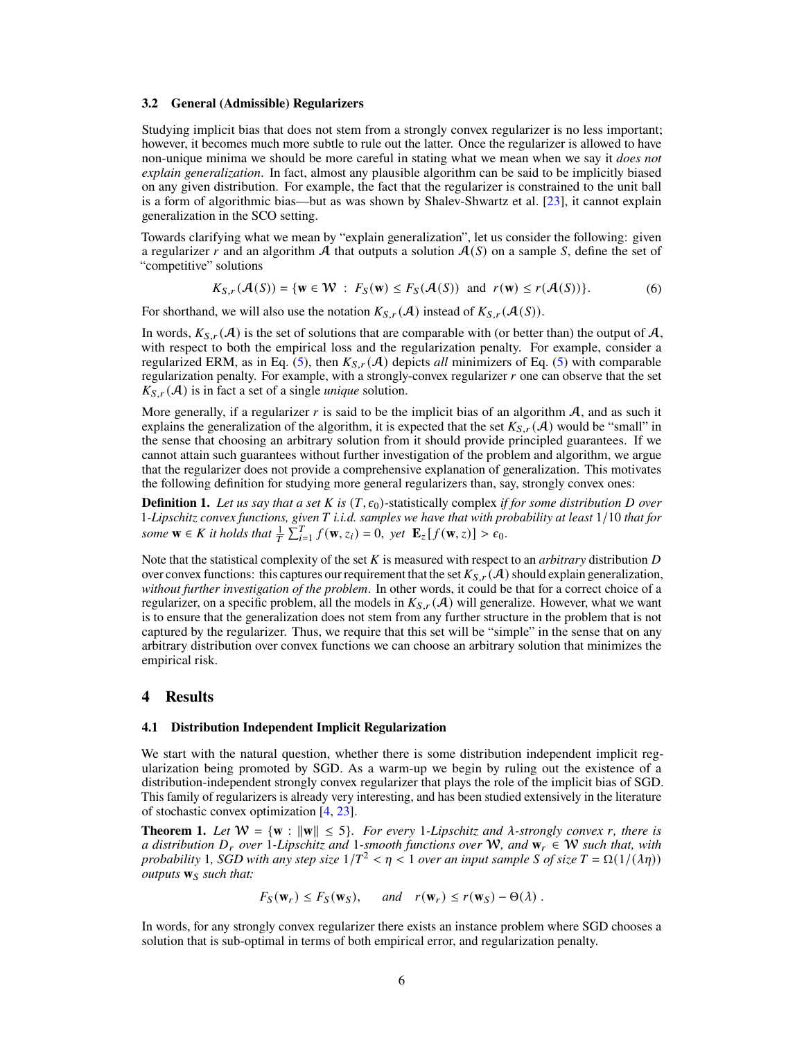#### <span id="page-5-1"></span>**3.2 General (Admissible) Regularizers**

Studying implicit bias that does not stem from a strongly convex regularizer is no less important; however, it becomes much more subtle to rule out the latter. Once the regularizer is allowed to have non-unique minima we should be more careful in stating what we mean when we say it *does not explain generalization*. In fact, almost any plausible algorithm can be said to be implicitly biased on any given distribution. For example, the fact that the regularizer is constrained to the unit ball is a form of algorithmic bias—but as was shown by Shalev-Shwartz et al. [\[23\]](#page-10-3), it cannot explain generalization in the SCO setting.

Towards clarifying what we mean by "explain generalization", let us consider the following: given a regularizer r and an algorithm A that outputs a solution  $A(S)$  on a sample S, define the set of "competitive" solutions

$$
K_{S,r}(\mathcal{A}(S)) = \{ \mathbf{w} \in \mathcal{W} : F_S(\mathbf{w}) \le F_S(\mathcal{A}(S)) \text{ and } r(\mathbf{w}) \le r(\mathcal{A}(S)) \}. \tag{6}
$$

For shorthand, we will also use the notation  $K_{S,r}(\mathcal{A})$  instead of  $K_{S,r}(\mathcal{A}(S))$ .

In words,  $K_{S,r}(\mathcal{A})$  is the set of solutions that are comparable with (or better than) the output of  $\mathcal{A}$ , with respect to both the empirical loss and the regularization penalty. For example, consider a regularized ERM, as in Eq.  $(5)$ , then  $K_{S,r}(\mathcal{A})$  depicts *all* minimizers of Eq.  $(5)$  with comparable regularization penalty. For example, with a strongly-convex regularizer  $r$  one can observe that the set  $K_{S,r}(\mathcal{A})$  is in fact a set of a single *unique* solution.

More generally, if a regularizer  $r$  is said to be the implicit bias of an algorithm  $A$ , and as such it explains the generalization of the algorithm, it is expected that the set  $K_{S,r}(\mathcal{A})$  would be "small" in the sense that choosing an arbitrary solution from it should provide principled guarantees. If we cannot attain such guarantees without further investigation of the problem and algorithm, we argue that the regularizer does not provide a comprehensive explanation of generalization. This motivates the following definition for studying more general regularizers than, say, strongly convex ones:

**Definition 1.** Let us say that a set K is  $(T, \epsilon_0)$ -statistically complex *if for some distribution* D over 1*-Lipschitz convex functions, given* 𝑇 *i.i.d. samples we have that with probability at least* 1/10 *that for* some  $\mathbf{w} \in K$  it holds that  $\frac{1}{T} \sum_{i=1}^{T} f(\mathbf{w}, z_i) = 0$ , yet  $\mathbf{E}_z[f(\mathbf{w}, z)] > \epsilon_0$ .

Note that the statistical complexity of the set  $K$  is measured with respect to an *arbitrary* distribution  $D$ over convex functions: this captures our requirement that the set  $K_{S,r}(\mathcal{A})$  should explain generalization, *without further investigation of the problem*. In other words, it could be that for a correct choice of a regularizer, on a specific problem, all the models in  $K_{S,r}(\mathcal{A})$  will generalize. However, what we want is to ensure that the generalization does not stem from any further structure in the problem that is not captured by the regularizer. Thus, we require that this set will be "simple" in the sense that on any arbitrary distribution over convex functions we can choose an arbitrary solution that minimizes the empirical risk.

## **4 Results**

## **4.1 Distribution Independent Implicit Regularization**

We start with the natural question, whether there is some distribution independent implicit regularization being promoted by SGD. As a warm-up we begin by ruling out the existence of a distribution-independent strongly convex regularizer that plays the role of the implicit bias of SGD. This family of regularizers is already very interesting, and has been studied extensively in the literature of stochastic convex optimization [\[4,](#page-9-11) [23\]](#page-10-3).

<span id="page-5-0"></span>**Theorem 1.** Let  $W = \{w : ||w|| \le 5\}$ . For every 1-Lipschitz and  $\lambda$ -strongly convex r, there is *a* distribution  $D_r$  over 1-Lipschitz and 1-smooth functions over W, and  $w_r \in W$  such that, with *probability* 1*, SGD with any step size*  $1/T^2 < \eta < 1$  *over an input sample S of size*  $T = \Omega(1/(\lambda \eta))$ *outputs*  $w_S$  *such that:* 

$$
F_S(\mathbf{w}_r) \leq F_S(\mathbf{w}_S)
$$
, and  $r(\mathbf{w}_r) \leq r(\mathbf{w}_S) - \Theta(\lambda)$ .

In words, for any strongly convex regularizer there exists an instance problem where SGD chooses a solution that is sub-optimal in terms of both empirical error, and regularization penalty.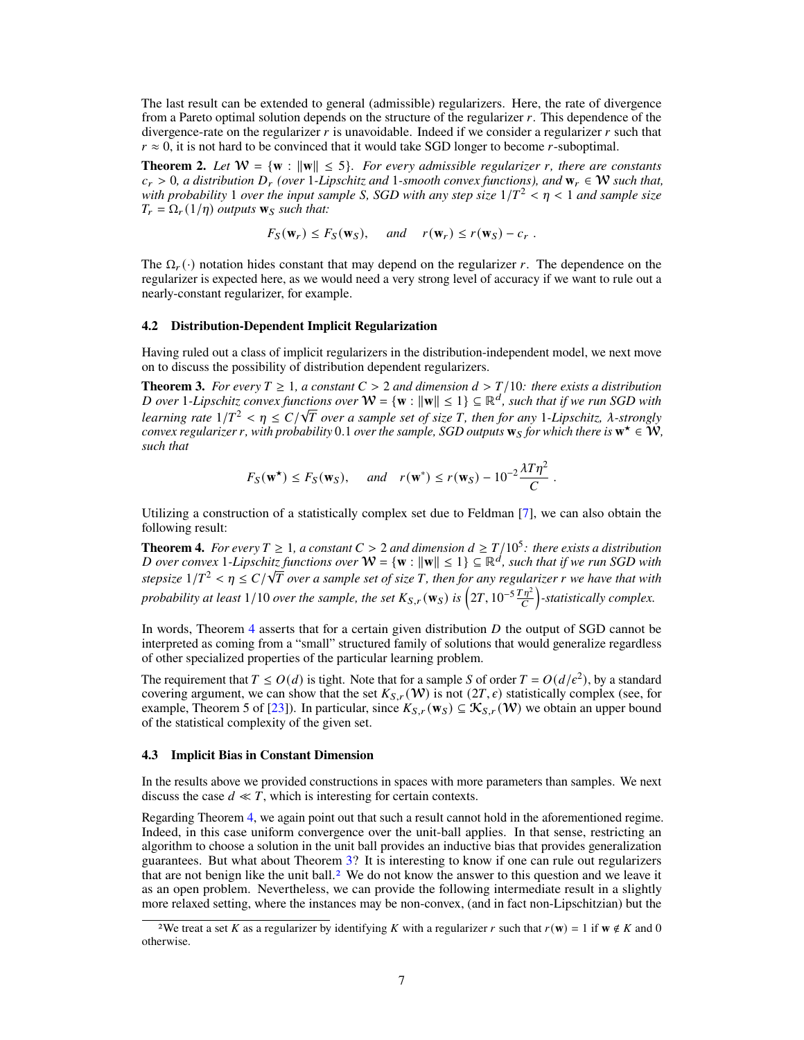<span id="page-6-4"></span>The last result can be extended to general (admissible) regularizers. Here, the rate of divergence from a Pareto optimal solution depends on the structure of the regularizer  $r$ . This dependence of the divergence-rate on the regularizer  $r$  is unavoidable. Indeed if we consider a regularizer  $r$  such that  $r \approx 0$ , it is not hard to be convinced that it would take SGD longer to become r-suboptimal.

<span id="page-6-3"></span>**Theorem 2.** Let  $W = \{w : ||w|| \le 5\}$ *. For every admissible regularizer r, there are constants*  $c_r > 0$ , a distribution  $D_r$  (over 1*-Lipschitz and* 1*-smooth convex functions), and*  $\mathbf{w}_r \in \mathcal{W}$  *such that, with probability* 1 *over the input sample S, SGD with any step size*  $1/T^2 < \eta < 1$  *and sample size*  $T_r = \Omega_r(1/\eta)$  *outputs*  $\mathbf{w}_s$  *such that:* 

$$
F_S(\mathbf{w}_r) \leq F_S(\mathbf{w}_S)
$$
, and  $r(\mathbf{w}_r) \leq r(\mathbf{w}_S) - c_r$ .

The  $\Omega_r(\cdot)$  notation hides constant that may depend on the regularizer r. The dependence on the regularizer is expected here, as we would need a very strong level of accuracy if we want to rule out a nearly-constant regularizer, for example.

## **4.2 Distribution-Dependent Implicit Regularization**

Having ruled out a class of implicit regularizers in the distribution-independent model, we next move on to discuss the possibility of distribution dependent regularizers.

<span id="page-6-1"></span>**Theorem 3.** *For every*  $T \geq 1$ , a constant  $C > 2$  and dimension  $d > T/10$ : there exists a distribution *D* over 1*-Lipschitz convex functions over*  $W = \{w : ||w|| \le 1\} \subseteq \mathbb{R}^d$ , such that if we run SGD with *learning rate*  $1/T^2 < \eta \le C/\sqrt{T}$  over a sample set of size T, then for any 1-Lipschitz,  $\lambda$ -strongly *convex regularizer r*, with probability 0.1 *over the sample, SGD outputs*  $\mathbf{w}_s$  *for which there is*  $\mathbf{w}^* \in \mathcal{W}$ , *such that*

$$
F_S(\mathbf{w}^*) \le F_S(\mathbf{w}_S)
$$
, and  $r(\mathbf{w}^*) \le r(\mathbf{w}_S) - 10^{-2} \frac{\lambda T \eta^2}{C}$ .

Utilizing a construction of a statistically complex set due to Feldman [\[7\]](#page-9-9), we can also obtain the following result:

<span id="page-6-0"></span>**Theorem 4.** For every  $T \ge 1$ , a constant  $C > 2$  and dimension  $d \ge T/10^5$ : there exists a distribution D over convex 1-Lipschitz functions over  $W = \{w : ||w|| \le 1\} \subseteq \mathbb{R}^d$ , such that if we run SGD with  $s$ tepsize  $1/T^2 < \eta \leq C/\sqrt{T}$  over a sample set of size T, then for any regularizer  $r$  we have that with *probability at least* 1/10 *over the sample, the set*  $K_{S,r}(\mathbf{w}_S)$  *is*  $(2T, 10^{-5} \frac{T\eta^2}{C})$  $\binom{\overline{\eta}^2}{C}$ -statistically complex.

In words, Theorem [4](#page-6-0) asserts that for a certain given distribution  $D$  the output of SGD cannot be interpreted as coming from a "small" structured family of solutions that would generalize regardless of other specialized properties of the particular learning problem.

The requirement that  $T \leq O(d)$  is tight. Note that for a sample S of order  $T = O(d/\epsilon^2)$ , by a standard covering argument, we can show that the set  $K_{S,r}(\mathcal{W})$  is not  $(2T,\epsilon)$  statistically complex (see, for example, Theorem 5 of [\[23\]](#page-10-3)). In particular, since  $K_{S,r}(\mathbf{w}_s) \subseteq \mathcal{K}_{S,r}(\mathcal{W})$  we obtain an upper bound of the statistical complexity of the given set.

#### **4.3 Implicit Bias in Constant Dimension**

In the results above we provided constructions in spaces with more parameters than samples. We next discuss the case  $d \ll T$ , which is interesting for certain contexts.

Regarding Theorem [4,](#page-6-0) we again point out that such a result cannot hold in the aforementioned regime. Indeed, in this case uniform convergence over the unit-ball applies. In that sense, restricting an algorithm to choose a solution in the unit ball provides an inductive bias that provides generalization guarantees. But what about Theorem [3?](#page-6-1) It is interesting to know if one can rule out regularizers that are not benign like the unit ball.<sup>[2](#page-6-2)</sup> We do not know the answer to this question and we leave it as an open problem. Nevertheless, we can provide the following intermediate result in a slightly more relaxed setting, where the instances may be non-convex, (and in fact non-Lipschitzian) but the

<span id="page-6-2"></span><sup>&</sup>lt;sup>2</sup>We treat a set K as a regularizer by identifying K with a regularizer r such that  $r(w) = 1$  if  $w \notin K$  and 0 otherwise.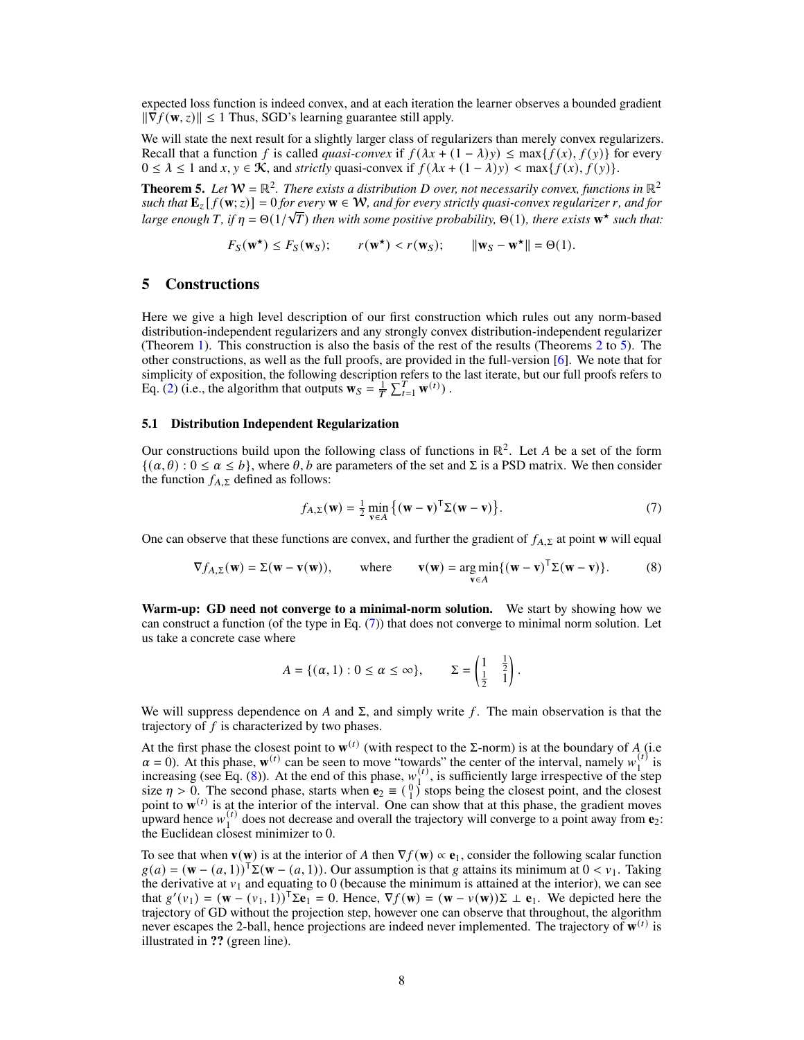<span id="page-7-3"></span>expected loss function is indeed convex, and at each iteration the learner observes a bounded gradient  $\|\nabla f(\mathbf{w}, z)\| \leq 1$  Thus, SGD's learning guarantee still apply.

We will state the next result for a slightly larger class of regularizers than merely convex regularizers. Recall that a function f is called *quasi-convex* if  $f(\lambda x + (1 - \lambda)y) \leq \max\{f(x), f(y)\}$  for every  $0 \le \lambda \le 1$  and  $x, y \in \mathcal{K}$ , and *strictly* quasi-convex if  $f(\lambda x + (1 - \lambda)y) < \max\{f(x), f(y)\}.$ 

<span id="page-7-0"></span>**Theorem 5.** Let  $W = \mathbb{R}^2$ . There exists a distribution D over, not necessarily convex, functions in  $\mathbb{R}^2$  $\mathbf{E}_{z} [f(\mathbf{w}; z)] = 0$  *for every*  $\mathbf{w} \in \mathcal{W}$ *, and for every strictly quasi-convex regularizer r, and for large enough* T, if  $\eta = \Theta(1/\sqrt{T})$  then with some positive probability,  $\Theta(1)$ , there exists  $\mathbf{w}^*$  such that:

$$
F_S(\mathbf{w}^*) \le F_S(\mathbf{w}_S);
$$
  $r(\mathbf{w}^*) < r(\mathbf{w}_S);$   $\|\mathbf{w}_S - \mathbf{w}^*\| = \Theta(1).$ 

# **5 Constructions**

Here we give a high level description of our first construction which rules out any norm-based distribution-independent regularizers and any strongly convex distribution-independent regularizer (Theorem [1\)](#page-5-0). This construction is also the basis of the rest of the results (Theorems [2](#page-6-3) to [5\)](#page-7-0). The other constructions, as well as the full proofs, are provided in the full-version [\[6\]](#page-9-13). We note that for simplicity of exposition, the following description refers to the last iterate, but our full proofs refers to Eq. [\(2\)](#page-3-0) (i.e., the algorithm that outputs  $\mathbf{w}_S = \frac{1}{T} \sum_{t=1}^T \mathbf{w}^{(t)}$ ).

## **5.1 Distribution Independent Regularization**

Our constructions build upon the following class of functions in  $\mathbb{R}^2$ . Let A be a set of the form  $\{(\alpha, \theta) : 0 \le \alpha \le b\}$ , where  $\theta$ ,  $b$  are parameters of the set and  $\Sigma$  is a PSD matrix. We then consider the function  $f_{A,\Sigma}$  defined as follows:

<span id="page-7-2"></span><span id="page-7-1"></span>
$$
f_{A,\Sigma}(\mathbf{w}) = \frac{1}{2} \min_{\mathbf{v} \in A} \left\{ (\mathbf{w} - \mathbf{v})^{\mathsf{T}} \Sigma(\mathbf{w} - \mathbf{v}) \right\}.
$$
 (7)

One can observe that these functions are convex, and further the gradient of  $f_{A,\Sigma}$  at point **w** will equal

$$
\nabla f_{A,\Sigma}(\mathbf{w}) = \Sigma(\mathbf{w} - \mathbf{v}(\mathbf{w})), \quad \text{where} \quad \mathbf{v}(\mathbf{w}) = \underset{\mathbf{v} \in A}{\arg\min} \{ (\mathbf{w} - \mathbf{v})^{\mathsf{T}} \Sigma(\mathbf{w} - \mathbf{v}) \}. \tag{8}
$$

**Warm-up: GD need not converge to a minimal-norm solution.** We start by showing how we can construct a function (of the type in Eq. [\(7\)](#page-7-1)) that does not converge to minimal norm solution. Let us take a concrete case where

$$
A = \{(\alpha, 1) : 0 \leq \alpha \leq \infty\}, \qquad \Sigma = \begin{pmatrix} 1 & \frac{1}{2} \\ \frac{1}{2} & 1 \end{pmatrix}.
$$

We will suppress dependence on A and  $\Sigma$ , and simply write f. The main observation is that the trajectory of  $f$  is characterized by two phases.

At the first phase the closest point to  $w^{(t)}$  (with respect to the Σ-norm) is at the boundary of A (i.e  $\alpha = 0$ ). At this phase,  $\mathbf{w}^{(t)}$  can be seen to move "towards" the center of the interval, namely  $w_1^{(t)}$  $_1^{(t)}$  is increasing (see Eq.  $(8)$ ). At the end of this phase,  $w_1^{(t)}$  $\binom{1}{1}$ , is sufficiently large irrespective of the step size  $\eta > 0$ . The second phase, starts when  $\mathbf{e}_2 \equiv \begin{pmatrix} 0 \\ 1 \end{pmatrix}$  stops being the closest point, and the closest point to  $\mathbf{w}^{(t)}$  is at the interior of the interval. One can show that at this phase, the gradient moves point to  $W = 15 \frac{\mu}{l}$  $\frac{1}{1}$  does not decrease and overall the trajectory will converge to a point away from  $\mathbf{e}_2$ : the Euclidean closest minimizer to 0.

To see that when  $\mathbf{v}(\mathbf{w})$  is at the interior of A then  $\nabla f(\mathbf{w}) \propto \mathbf{e}_1$ , consider the following scalar function  $g(a) = (\mathbf{w} - (a, 1))^T \Sigma(\mathbf{w} - (a, 1)).$  Our assumption is that g attains its minimum at  $0 \leq v_1$ . Taking the derivative at  $v_1$  and equating to 0 (because the minimum is attained at the interior), we can see that  $g'(v_1) = (\mathbf{w} - (v_1, 1))^T \Sigma \mathbf{e}_1 = 0$ . Hence,  $\nabla f(\mathbf{w}) = (\mathbf{w} - v(\mathbf{w}))\Sigma \perp \mathbf{e}_1$ . We depicted here the trajectory of GD without the projection step, however one can observe that throughout, the algorithm never escapes the 2-ball, hence projections are indeed never implemented. The trajectory of  $w^{(t)}$  is illustrated in **??** (green line).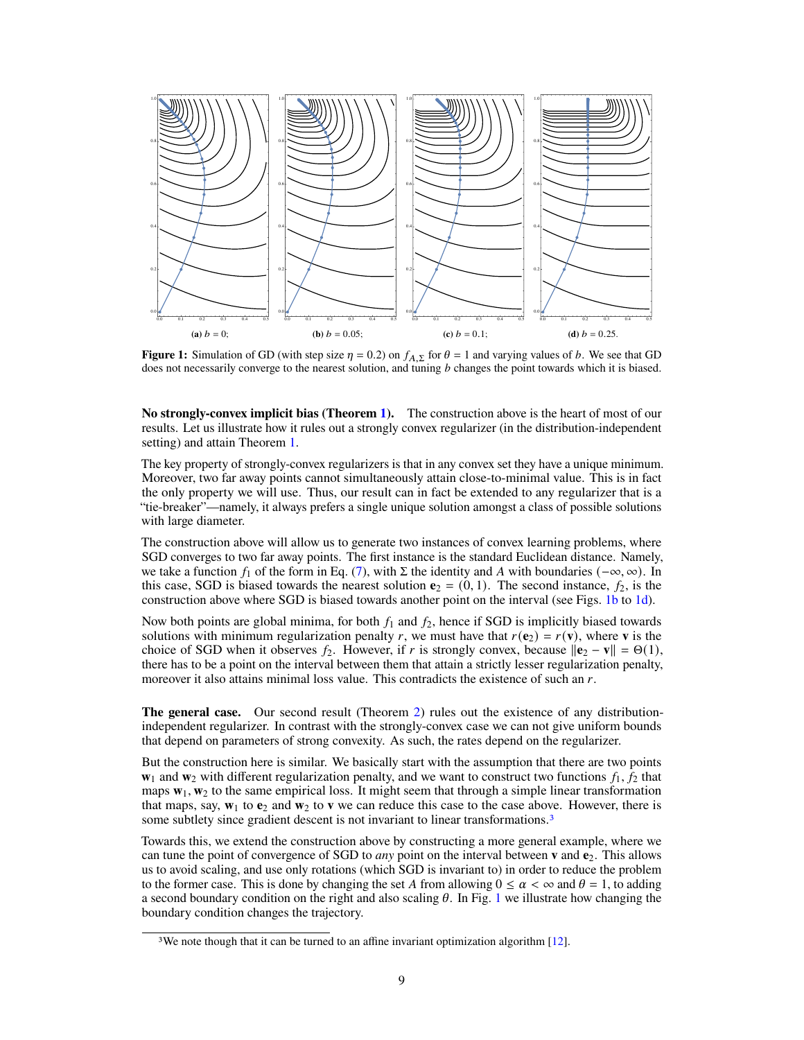<span id="page-8-2"></span><span id="page-8-0"></span>

**Figure 1:** Simulation of GD (with step size  $\eta = 0.2$ ) on  $f_{A,\Sigma}$  for  $\theta = 1$  and varying values of b. We see that GD does not necessarily converge to the nearest solution, and tuning  $b$  changes the point towards which it is biased.

No strongly-convex implicit bias (Theorem 1). The construction above is the heart of most of our results. Let us illustrate how it rules out a strongly convex regularizer (in the distribution-independent setting) and attain Theorem 1.

The key property of strongly-convex regularizers is that in any convex set they have a unique minimum. Moreover, two far away points cannot simultaneously attain close-to-minimal value. This is in fact the only property we will use. Thus, our result can in fact be extended to any regularizer that is a "tie-breaker"—namely, it always prefers a single unique solution amongst a class of possible solutions with large diameter.

The construction above will allow us to generate two instances of convex learning problems, where SGD converges to two far away points. The first instance is the standard Euclidean distance. Namely, we take a function  $f_1$  of the form in Eq. (7), with  $\Sigma$  the identity and A with boundaries  $(-\infty, \infty)$ . In this case, SGD is biased towards the nearest solution  $e_2 = (0, 1)$ . The second instance,  $f_2$ , is the construction above where SGD is biased towards another point on the interval (see Figs. 1b to 1d).

Now both points are global minima, for both  $f_1$  and  $f_2$ , hence if SGD is implicitly biased towards solutions with minimum regularization penalty r, we must have that  $r(e_2) = r(v)$ , where v is the choice of SGD when it observes  $f_2$ . However, if r is strongly convex, because  $||\mathbf{e}_2 - \mathbf{v}|| = \Theta(1)$ , there has to be a point on the interval between them that attain a strictly lesser regularization penalty, moreover it also attains minimal loss value. This contradicts the existence of such an  $r$ .

**The general case.** Our second result (Theorem 2) rules out the existence of any distributionindependent regularizer. In contrast with the strongly-convex case we can not give uniform bounds that depend on parameters of strong convexity. As such, the rates depend on the regularizer.

But the construction here is similar. We basically start with the assumption that there are two points  $\mathbf{w}_1$  and  $\mathbf{w}_2$  with different regularization penalty, and we want to construct two functions  $f_1$ ,  $f_2$  that maps  $w_1$ ,  $w_2$  to the same empirical loss. It might seem that through a simple linear transformation that maps, say,  $w_1$  to  $e_2$  and  $w_2$  to v we can reduce this case to the case above. However, there is some subtlety since gradient descent is not invariant to linear transformations.<sup>3</sup>

Towards this, we extend the construction above by constructing a more general example, where we can tune the point of convergence of SGD to *any* point on the interval between **v** and  $e_2$ . This allows us to avoid scaling, and use only rotations (which SGD is invariant to) in order to reduce the problem to the former case. This is done by changing the set A from allowing  $0 \le \alpha < \infty$  and  $\theta = 1$ , to adding a second boundary condition on the right and also scaling  $\theta$ . In Fig. 1 we illustrate how changing the boundary condition changes the trajectory.

<span id="page-8-1"></span><sup>&</sup>lt;sup>3</sup>We note though that it can be turned to an affine invariant optimization algorithm [12].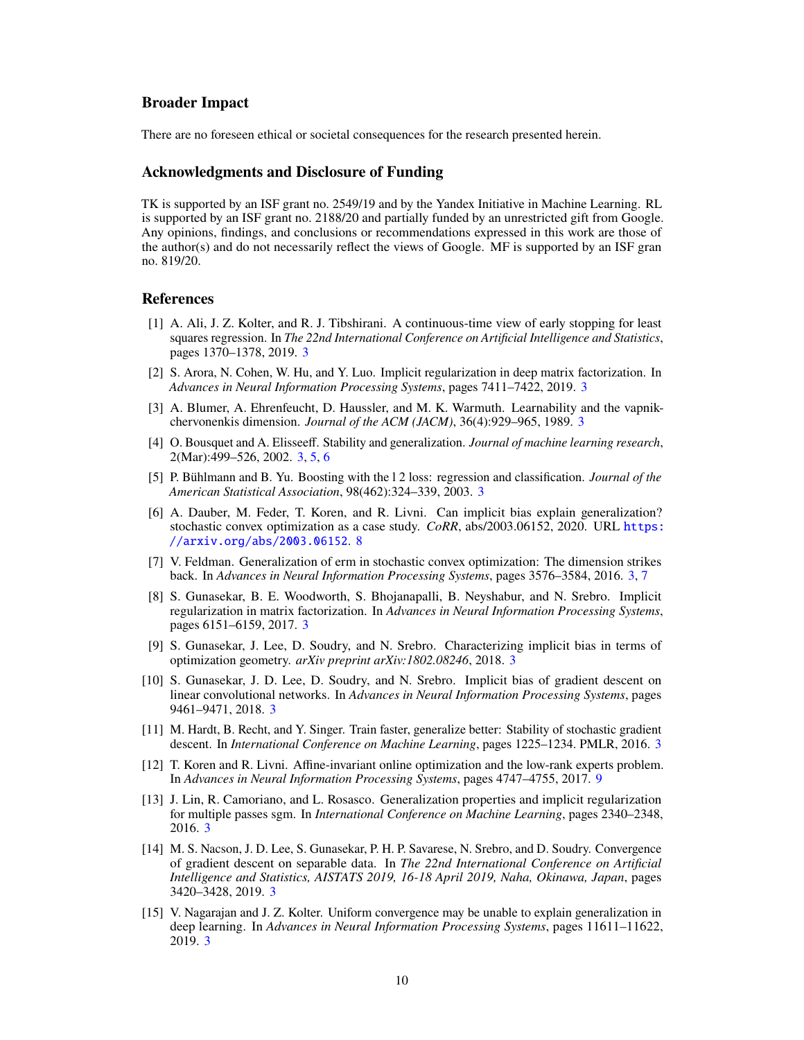# **Broader Impact**

There are no foreseen ethical or societal consequences for the research presented herein.

# **Acknowledgments and Disclosure of Funding**

TK is supported by an ISF grant no. 2549/19 and by the Yandex Initiative in Machine Learning. RL is supported by an ISF grant no. 2188/20 and partially funded by an unrestricted gift from Google. Any opinions, findings, and conclusions or recommendations expressed in this work are those of the author(s) and do not necessarily reflect the views of Google. MF is supported by an ISF gran no. 819/20.

# **References**

- <span id="page-9-1"></span>[1] A. Ali, J. Z. Kolter, and R. J. Tibshirani. A continuous-time view of early stopping for least squares regression. In *The 22nd International Conference on Artificial Intelligence and Statistics*, pages 1370–1378, 2019. [3](#page-2-0)
- <span id="page-9-3"></span>[2] S. Arora, N. Cohen, W. Hu, and Y. Luo. Implicit regularization in deep matrix factorization. In *Advances in Neural Information Processing Systems*, pages 7411–7422, 2019. [3](#page-2-0)
- <span id="page-9-8"></span>[3] A. Blumer, A. Ehrenfeucht, D. Haussler, and M. K. Warmuth. Learnability and the vapnikchervonenkis dimension. *Journal of the ACM (JACM)*, 36(4):929–965, 1989. [3](#page-2-0)
- <span id="page-9-11"></span>[4] O. Bousquet and A. Elisseeff. Stability and generalization. *Journal of machine learning research*, 2(Mar):499–526, 2002. [3,](#page-2-0) [5,](#page-4-1) [6](#page-5-1)
- <span id="page-9-0"></span>[5] P. Bühlmann and B. Yu. Boosting with the l 2 loss: regression and classification. *Journal of the American Statistical Association*, 98(462):324–339, 2003. [3](#page-2-0)
- <span id="page-9-13"></span>[6] A. Dauber, M. Feder, T. Koren, and R. Livni. Can implicit bias explain generalization? stochastic convex optimization as a case study. *CoRR*, abs/2003.06152, 2020. URL [https:](https://arxiv.org/abs/2003.06152) [//arxiv.org/abs/2003.06152](https://arxiv.org/abs/2003.06152). [8](#page-7-3)
- <span id="page-9-9"></span>[7] V. Feldman. Generalization of erm in stochastic convex optimization: The dimension strikes back. In *Advances in Neural Information Processing Systems*, pages 3576–3584, 2016. [3,](#page-2-0) [7](#page-6-4)
- <span id="page-9-2"></span>[8] S. Gunasekar, B. E. Woodworth, S. Bhojanapalli, B. Neyshabur, and N. Srebro. Implicit regularization in matrix factorization. In *Advances in Neural Information Processing Systems*, pages 6151–6159, 2017. [3](#page-2-0)
- <span id="page-9-7"></span>[9] S. Gunasekar, J. Lee, D. Soudry, and N. Srebro. Characterizing implicit bias in terms of optimization geometry. *arXiv preprint arXiv:1802.08246*, 2018. [3](#page-2-0)
- <span id="page-9-4"></span>[10] S. Gunasekar, J. D. Lee, D. Soudry, and N. Srebro. Implicit bias of gradient descent on linear convolutional networks. In *Advances in Neural Information Processing Systems*, pages 9461–9471, 2018. [3](#page-2-0)
- <span id="page-9-12"></span>[11] M. Hardt, B. Recht, and Y. Singer. Train faster, generalize better: Stability of stochastic gradient descent. In *International Conference on Machine Learning*, pages 1225–1234. PMLR, 2016. [3](#page-2-0)
- <span id="page-9-14"></span>[12] T. Koren and R. Livni. Affine-invariant online optimization and the low-rank experts problem. In *Advances in Neural Information Processing Systems*, pages 4747–4755, 2017. [9](#page-8-2)
- <span id="page-9-6"></span>[13] J. Lin, R. Camoriano, and L. Rosasco. Generalization properties and implicit regularization for multiple passes sgm. In *International Conference on Machine Learning*, pages 2340–2348, 2016. [3](#page-2-0)
- <span id="page-9-5"></span>[14] M. S. Nacson, J. D. Lee, S. Gunasekar, P. H. P. Savarese, N. Srebro, and D. Soudry. Convergence of gradient descent on separable data. In *The 22nd International Conference on Artificial Intelligence and Statistics, AISTATS 2019, 16-18 April 2019, Naha, Okinawa, Japan*, pages 3420–3428, 2019. [3](#page-2-0)
- <span id="page-9-10"></span>[15] V. Nagarajan and J. Z. Kolter. Uniform convergence may be unable to explain generalization in deep learning. In *Advances in Neural Information Processing Systems*, pages 11611–11622, 2019. [3](#page-2-0)